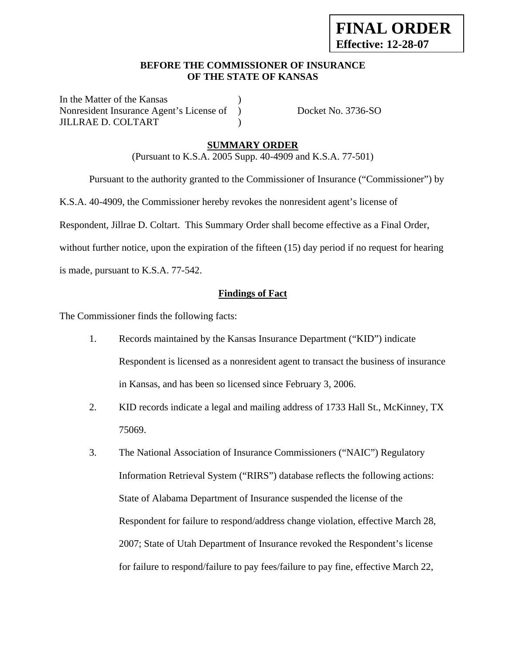## **BEFORE THE COMMISSIONER OF INSURANCE OF THE STATE OF KANSAS**

In the Matter of the Kansas Nonresident Insurance Agent's License of ) Docket No. 3736-SO JILLRAE D. COLTART )

## **SUMMARY ORDER**

(Pursuant to K.S.A. 2005 Supp. 40-4909 and K.S.A. 77-501)

Pursuant to the authority granted to the Commissioner of Insurance ("Commissioner") by

K.S.A. 40-4909, the Commissioner hereby revokes the nonresident agent's license of

Respondent, Jillrae D. Coltart. This Summary Order shall become effective as a Final Order,

without further notice, upon the expiration of the fifteen (15) day period if no request for hearing

is made, pursuant to K.S.A. 77-542.

#### **Findings of Fact**

The Commissioner finds the following facts:

- 1. Records maintained by the Kansas Insurance Department ("KID") indicate Respondent is licensed as a nonresident agent to transact the business of insurance in Kansas, and has been so licensed since February 3, 2006.
- 2. KID records indicate a legal and mailing address of 1733 Hall St., McKinney, TX 75069.
- 3. The National Association of Insurance Commissioners ("NAIC") Regulatory Information Retrieval System ("RIRS") database reflects the following actions: State of Alabama Department of Insurance suspended the license of the Respondent for failure to respond/address change violation, effective March 28, 2007; State of Utah Department of Insurance revoked the Respondent's license for failure to respond/failure to pay fees/failure to pay fine, effective March 22,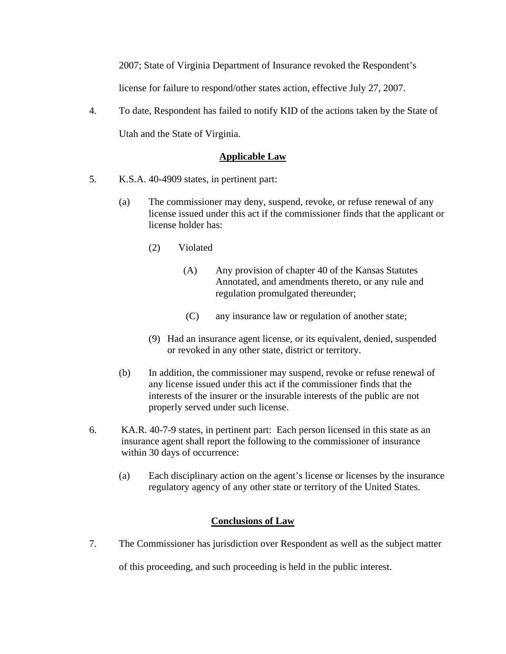2007; State of Virginia Department of Insurance revoked the Respondent's

license for failure to respond/other states action, effective July 27, 2007.

4. To date, Respondent has failed to notify KID of the actions taken by the State of Utah and the State of Virginia.

# **Applicable Law**

- 5. K.S.A. 40-4909 states, in pertinent part:
	- (a) The commissioner may deny, suspend, revoke, or refuse renewal of any license issued under this act if the commissioner finds that the applicant or license holder has:
		- (2) Violated
			- (A) Any provision of chapter 40 of the Kansas Statutes Annotated, and amendments thereto, or any rule and regulation promulgated thereunder;
			- (C) any insurance law or regulation of another state;
		- (9) Had an insurance agent license, or its equivalent, denied, suspended or revoked in any other state, district or territory.
	- (b) In addition, the commissioner may suspend, revoke or refuse renewal of any license issued under this act if the commissioner finds that the interests of the insurer or the insurable interests of the public are not properly served under such license.
- 6. KA.R. 40-7-9 states, in pertinent part: Each person licensed in this state as an insurance agent shall report the following to the commissioner of insurance within 30 days of occurrence:
	- (a) Each disciplinary action on the agent's license or licenses by the insurance regulatory agency of any other state or territory of the United States.

### **Conclusions of Law**

7. The Commissioner has jurisdiction over Respondent as well as the subject matter

of this proceeding, and such proceeding is held in the public interest.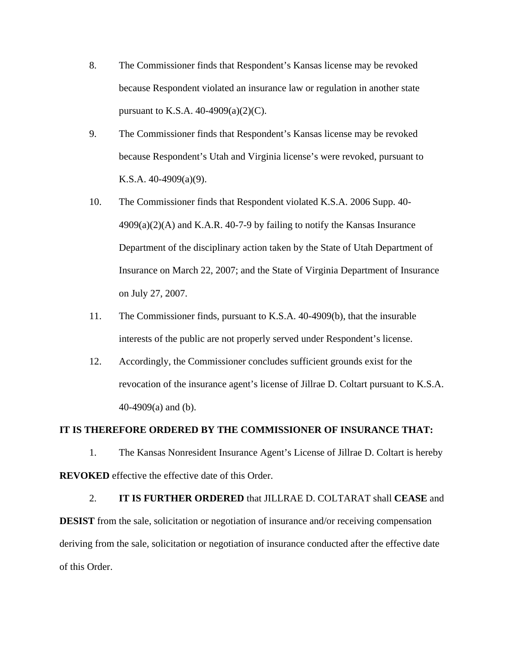- 8. The Commissioner finds that Respondent's Kansas license may be revoked because Respondent violated an insurance law or regulation in another state pursuant to K.S.A. 40-4909(a)(2)(C).
- 9. The Commissioner finds that Respondent's Kansas license may be revoked because Respondent's Utah and Virginia license's were revoked, pursuant to K.S.A. 40-4909(a)(9).
- 10. The Commissioner finds that Respondent violated K.S.A. 2006 Supp. 40-  $4909(a)(2)(A)$  and K.A.R. 40-7-9 by failing to notify the Kansas Insurance Department of the disciplinary action taken by the State of Utah Department of Insurance on March 22, 2007; and the State of Virginia Department of Insurance on July 27, 2007.
- 11. The Commissioner finds, pursuant to K.S.A. 40-4909(b), that the insurable interests of the public are not properly served under Respondent's license.
- 12. Accordingly, the Commissioner concludes sufficient grounds exist for the revocation of the insurance agent's license of Jillrae D. Coltart pursuant to K.S.A. 40-4909(a) and (b).

#### **IT IS THEREFORE ORDERED BY THE COMMISSIONER OF INSURANCE THAT:**

1. The Kansas Nonresident Insurance Agent's License of Jillrae D. Coltart is hereby **REVOKED** effective the effective date of this Order.

2. **IT IS FURTHER ORDERED** that JILLRAE D. COLTARAT shall **CEASE** and **DESIST** from the sale, solicitation or negotiation of insurance and/or receiving compensation deriving from the sale, solicitation or negotiation of insurance conducted after the effective date of this Order.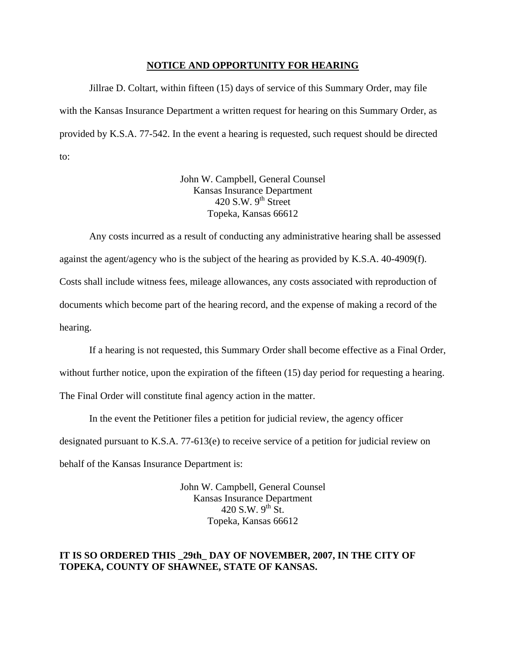#### **NOTICE AND OPPORTUNITY FOR HEARING**

Jillrae D. Coltart, within fifteen (15) days of service of this Summary Order, may file with the Kansas Insurance Department a written request for hearing on this Summary Order, as provided by K.S.A. 77-542. In the event a hearing is requested, such request should be directed to:

> John W. Campbell, General Counsel Kansas Insurance Department 420 S.W.  $9<sup>th</sup>$  Street Topeka, Kansas 66612

Any costs incurred as a result of conducting any administrative hearing shall be assessed against the agent/agency who is the subject of the hearing as provided by K.S.A. 40-4909(f). Costs shall include witness fees, mileage allowances, any costs associated with reproduction of documents which become part of the hearing record, and the expense of making a record of the hearing.

If a hearing is not requested, this Summary Order shall become effective as a Final Order, without further notice, upon the expiration of the fifteen (15) day period for requesting a hearing. The Final Order will constitute final agency action in the matter.

In the event the Petitioner files a petition for judicial review, the agency officer designated pursuant to K.S.A. 77-613(e) to receive service of a petition for judicial review on behalf of the Kansas Insurance Department is:

> John W. Campbell, General Counsel Kansas Insurance Department 420 S.W.  $9^{th}$  St. Topeka, Kansas 66612

#### **IT IS SO ORDERED THIS \_29th\_ DAY OF NOVEMBER, 2007, IN THE CITY OF TOPEKA, COUNTY OF SHAWNEE, STATE OF KANSAS.**